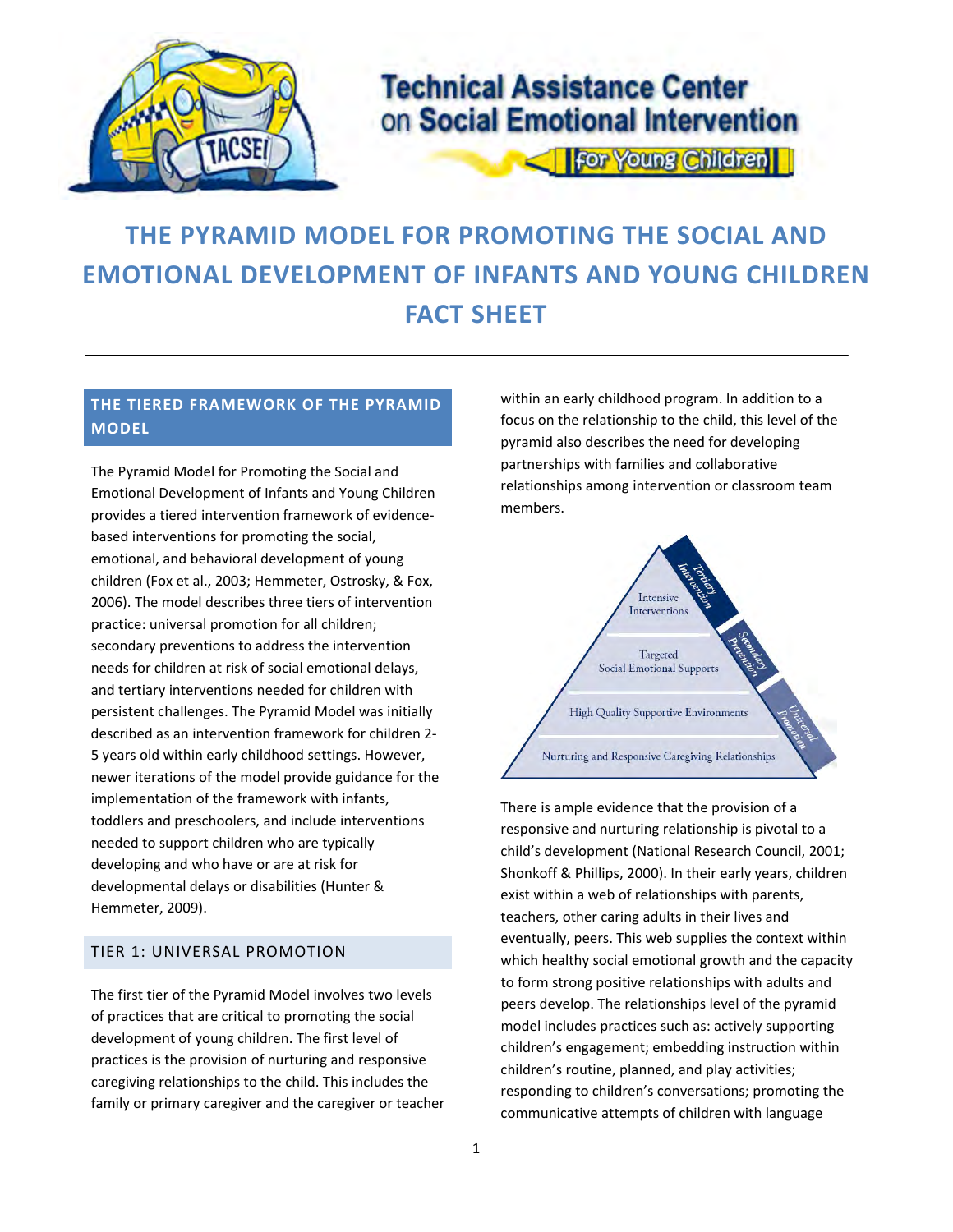

## **Technical Assistance Center** on Social Emotional Intervention

**For Young Children** 

# **THE PYRAMID MODEL FOR PROMOTING THE SOCIAL AND EMOTIONAL DEVELOPMENT OF INFANTS AND YOUNG CHILDREN FACT SHEET**

## **THE TIERED FRAMEWORK OF THE PYRAMID MODEL**

 The Pyramid Model for Promoting the Social and Emotional Development of Infants and Young Children provides a tiered intervention framework of evidence‐ based interventions for promoting the social, emotional, and behavioral development of young children (Fox et al., 2003; Hemmeter, Ostrosky, & Fox, 2006). The model describes three tiers of intervention practice: universal promotion for all children; secondary preventions to address the intervention needs for children at risk of social emotional delays, and tertiary interventions needed for children with persistent challenges. The Pyramid Model was initially described as an intervention framework for children 2‐ 5 years old within early childhood settings. However, newer iterations of the model provide guidance for the implementation of the framework with infants, toddlers and preschoolers, and include interventions needed to support children who are typically developing and who have or are at risk for developmental delays or disabilities (Hunter & Hemmeter, 2009).

#### TIER 1: UNIVERSAL PROMOTION

 The first tier of the Pyramid Model involves two levels of practices that are critical to promoting the social development of young children. The first level of practices is the provision of nurturing and responsive caregiving relationships to the child. This includes the family or primary caregiver and the caregiver or teacher  within an early childhood program. In addition to a focus on the relationship to the child, this level of the pyramid also describes the need for developing partnerships with families and collaborative relationships among intervention or classroom team members.



 There is ample evidence that the provision of a responsive and nurturing relationship is pivotal to a child's development (National Research Council, 2001; Shonkoff & Phillips, 2000). In their early years, children exist within a web of relationships with parents, teachers, other caring adults in their lives and eventually, peers. This web supplies the context within which healthy social emotional growth and the capacity to form strong positive relationships with adults and peers develop. The relationships level of the pyramid model includes practices such as: actively supporting children's engagement; embedding instruction within children's routine, planned, and play activities; responding to children's conversations; promoting the communicative attempts of children with language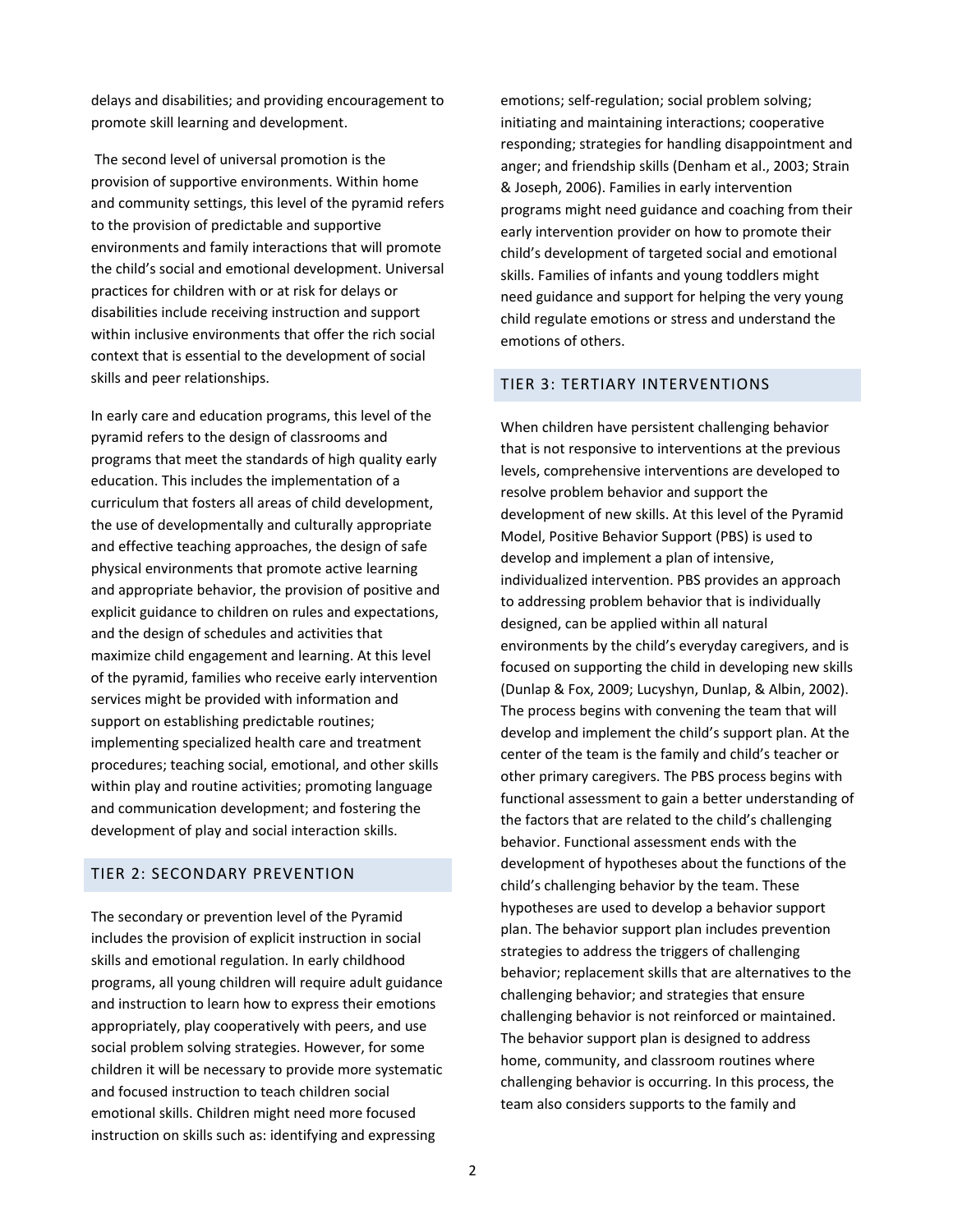delays and disabilities; and providing encouragement to promote skill learning and development.

 The second level of universal promotion is the provision of supportive environments. Within home and community settings, this level of the pyramid refers to the provision of predictable and supportive environments and family interactions that will promote the child's social and emotional development. Universal practices for children with or at risk for delays or disabilities include receiving instruction and support within inclusive environments that offer the rich social context that is essential to the development of social skills and peer relationships.

 In early care and education programs, this level of the pyramid refers to the design of classrooms and programs that meet the standards of high quality early education. This includes the implementation of a curriculum that fosters all areas of child development, the use of developmentally and culturally appropriate and effective teaching approaches, the design of safe physical environments that promote active learning and appropriate behavior, the provision of positive and explicit guidance to children on rules and expectations, and the design of schedules and activities that maximize child engagement and learning. At this level of the pyramid, families who receive early intervention services might be provided with information and support on establishing predictable routines; implementing specialized health care and treatment procedures; teaching social, emotional, and other skills within play and routine activities; promoting language and communication development; and fostering the development of play and social interaction skills.

#### TIER 2: SECONDARY PREVENTION

 The secondary or prevention level of the Pyramid includes the provision of explicit instruction in social skills and emotional regulation. In early childhood programs, all young children will require adult guidance and instruction to learn how to express their emotions appropriately, play cooperatively with peers, and use social problem solving strategies. However, for some children it will be necessary to provide more systematic and focused instruction to teach children social emotional skills. Children might need more focused instruction on skills such as: identifying and expressing

 emotions; self‐regulation; social problem solving; initiating and maintaining interactions; cooperative responding; strategies for handling disappointment and anger; and friendship skills (Denham et al., 2003; Strain & Joseph, 2006). Families in early intervention programs might need guidance and coaching from their early intervention provider on how to promote their child's development of targeted social and emotional skills. Families of infants and young toddlers might need guidance and support for helping the very young child regulate emotions or stress and understand the emotions of others.

#### TIER 3: TERTIARY INTERVENTIONS

 When children have persistent challenging behavior that is not responsive to interventions at the previous levels, comprehensive interventions are developed to resolve problem behavior and support the development of new skills. At this level of the Pyramid Model, Positive Behavior Support (PBS) is used to develop and implement a plan of intensive, individualized intervention. PBS provides an approach to addressing problem behavior that is individually designed, can be applied within all natural environments by the child's everyday caregivers, and is focused on supporting the child in developing new skills (Dunlap & Fox, 2009; Lucyshyn, Dunlap, & Albin, 2002). The process begins with convening the team that will develop and implement the child's support plan. At the center of the team is the family and child's teacher or other primary caregivers. The PBS process begins with functional assessment to gain a better understanding of the factors that are related to the child's challenging behavior. Functional assessment ends with the development of hypotheses about the functions of the child's challenging behavior by the team. These hypotheses are used to develop a behavior support plan. The behavior support plan includes prevention strategies to address the triggers of challenging behavior; replacement skills that are alternatives to the challenging behavior; and strategies that ensure challenging behavior is not reinforced or maintained. The behavior support plan is designed to address home, community, and classroom routines where challenging behavior is occurring. In this process, the team also considers supports to the family and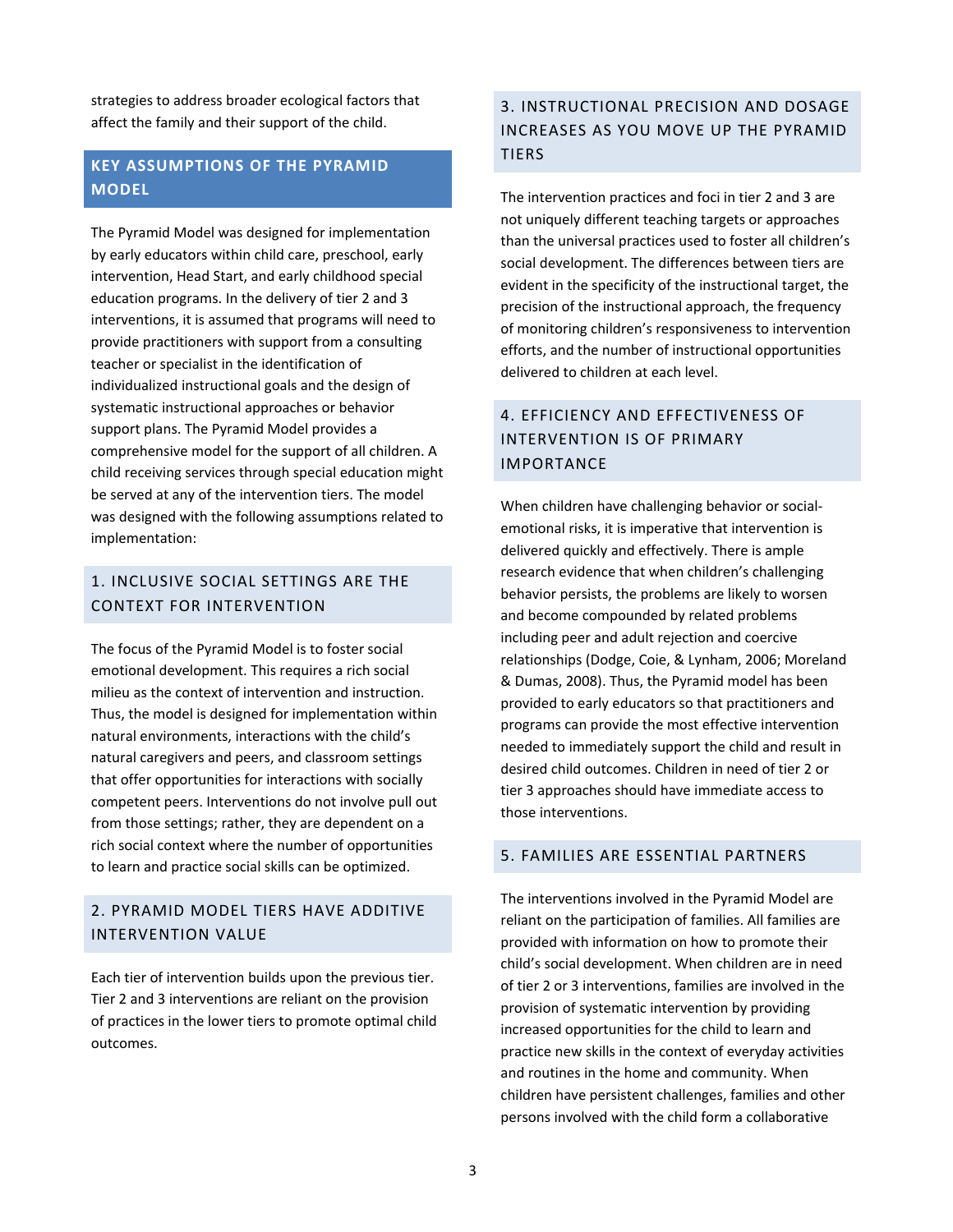strategies to address broader ecological factors that affect the family and their support of the child.

## **KEY ASSUMPTIONS OF THE PYRAMID MODEL**

 The Pyramid Model was designed for implementation by early educators within child care, preschool, early intervention, Head Start, and early childhood special education programs. In the delivery of tier 2 and 3 interventions, it is assumed that programs will need to provide practitioners with support from a consulting teacher or specialist in the identification of individualized instructional goals and the design of systematic instructional approaches or behavior support plans. The Pyramid Model provides a comprehensive model for the support of all children. A child receiving services through special education might be served at any of the intervention tiers. The model was designed with the following assumptions related to implementation:

### 1. INCLUSIVE SOCIAL SETTINGS ARE THE CONTEXT FOR INTERVENTION

 The focus of the Pyramid Model is to foster social emotional development. This requires a rich social milieu as the context of intervention and instruction. Thus, the model is designed for implementation within natural environments, interactions with the child's natural caregivers and peers, and classroom settings that offer opportunities for interactions with socially competent peers. Interventions do not involve pull out from those settings; rather, they are dependent on a rich social context where the number of opportunities to learn and practice social skills can be optimized.

## 2. PYRAMID MODEL TIERS HAVE ADDITIVE INTERVENTION VALUE

 Each tier of intervention builds upon the previous tier. Tier 2 and 3 interventions are reliant on the provision of practices in the lower tiers to promote optimal child outcomes.

## 3. INSTRUCTIONAL PRECISION AND DOSAGE INCREASES AS YOU MOVE UP THE PYRAMID TIERS

The intervention practices and foci in tier 2 and 3 are not uniquely different teaching targets or approaches than the universal practices used to foster all children's social development. The differences between tiers are evident in the specificity of the instructional target, the precision of the instructional approach, the frequency of monitoring children's responsiveness to intervention efforts, and the number of instructional opportunities delivered to children at each level.

## 4. EFFICIENCY AND EFFECTIVENESS OF INTERVENTION IS OF PRIMARY IMPORTANCE

 When children have challenging behavior or social‐ emotional risks, it is imperative that intervention is delivered quickly and effectively. There is ample research evidence that when children's challenging behavior persists, the problems are likely to worsen and become compounded by related problems including peer and adult rejection and coercive relationships (Dodge, Coie, & Lynham, 2006; Moreland & Dumas, 2008). Thus, the Pyramid model has been provided to early educators so that practitioners and programs can provide the most effective intervention needed to immediately support the child and result in desired child outcomes. Children in need of tier 2 or tier 3 approaches should have immediate access to those interventions.

#### 5. FAMILIES ARE ESSENTIAL PARTNERS

 The interventions involved in the Pyramid Model are reliant on the participation of families. All families are provided with information on how to promote their child's social development. When children are in need of tier 2 or 3 interventions, families are involved in the provision of systematic intervention by providing increased opportunities for the child to learn and practice new skills in the context of everyday activities and routines in the home and community. When children have persistent challenges, families and other persons involved with the child form a collaborative